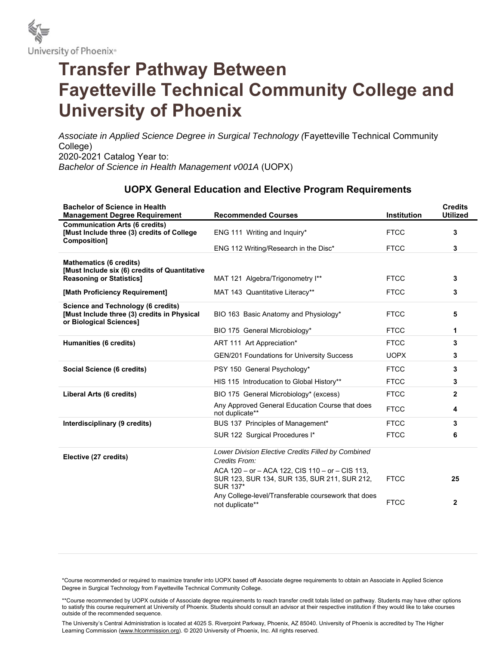

## **Transfer Pathway Between Fayetteville Technical Community College and University of Phoenix**

*Associate in Applied Science Degree in Surgical Technology (*Fayetteville Technical Community College) 2020-2021 Catalog Year to: *Bachelor of Science in Health Management v001A* (UOPX)

## **UOPX General Education and Elective Program Requirements**

| <b>Bachelor of Science in Health</b><br><b>Management Degree Requirement</b>                                        | <b>Recommended Courses</b>                                                                                         | <b>Institution</b> | <b>Credits</b><br><b>Utilized</b> |
|---------------------------------------------------------------------------------------------------------------------|--------------------------------------------------------------------------------------------------------------------|--------------------|-----------------------------------|
| <b>Communication Arts (6 credits)</b><br>[Must Include three (3) credits of College<br><b>Composition1</b>          | ENG 111 Writing and Inquiry*                                                                                       | <b>FTCC</b>        | 3                                 |
|                                                                                                                     | ENG 112 Writing/Research in the Disc*                                                                              | <b>FTCC</b>        | 3                                 |
| <b>Mathematics (6 credits)</b><br>[Must Include six (6) credits of Quantitative                                     |                                                                                                                    |                    |                                   |
| <b>Reasoning or Statistics]</b>                                                                                     | MAT 121 Algebra/Trigonometry I**                                                                                   | <b>FTCC</b>        | 3                                 |
| [Math Proficiency Requirement]                                                                                      | MAT 143 Quantitative Literacy**                                                                                    | <b>FTCC</b>        | 3                                 |
| <b>Science and Technology (6 credits)</b><br>[Must Include three (3) credits in Physical<br>or Biological Sciences] | BIO 163 Basic Anatomy and Physiology*                                                                              | <b>FTCC</b>        | 5                                 |
|                                                                                                                     | BIO 175 General Microbiology*                                                                                      | <b>FTCC</b>        | 1                                 |
| Humanities (6 credits)                                                                                              | ART 111 Art Appreciation*                                                                                          | <b>FTCC</b>        | 3                                 |
|                                                                                                                     | GEN/201 Foundations for University Success                                                                         | <b>UOPX</b>        | 3                                 |
| Social Science (6 credits)                                                                                          | PSY 150 General Psychology*                                                                                        | <b>FTCC</b>        | 3                                 |
|                                                                                                                     | HIS 115 Introducation to Global History**                                                                          | <b>FTCC</b>        | 3                                 |
| Liberal Arts (6 credits)                                                                                            | BIO 175 General Microbiology* (excess)                                                                             | <b>FTCC</b>        | $\mathbf{2}$                      |
|                                                                                                                     | Any Approved General Education Course that does<br>not duplicate**                                                 | <b>FTCC</b>        | 4                                 |
| Interdisciplinary (9 credits)                                                                                       | BUS 137 Principles of Management*                                                                                  | <b>FTCC</b>        | 3                                 |
|                                                                                                                     | SUR 122 Surgical Procedures I*                                                                                     | <b>FTCC</b>        | 6                                 |
| Elective (27 credits)                                                                                               | Lower Division Elective Credits Filled by Combined<br>Credits From:                                                |                    |                                   |
|                                                                                                                     | ACA 120 – or – ACA 122, CIS 110 – or – CIS 113,<br>SUR 123, SUR 134, SUR 135, SUR 211, SUR 212,<br><b>SUR 137*</b> | <b>FTCC</b>        | 25                                |
|                                                                                                                     | Any College-level/Transferable coursework that does<br>not duplicate**                                             | <b>FTCC</b>        | $\mathbf{2}$                      |

\*Course recommended or required to maximize transfer into UOPX based off Associate degree requirements to obtain an Associate in Applied Science Degree in Surgical Technology from Fayetteville Technical Community College.

\*\*Course recommended by UOPX outside of Associate degree requirements to reach transfer credit totals listed on pathway. Students may have other options to satisfy this course requirement at University of Phoenix. Students should consult an advisor at their respective institution if they would like to take courses outside of the recommended sequence.

The University's Central Administration is located at 4025 S. Riverpoint Parkway, Phoenix, AZ 85040. University of Phoenix is accredited by The Higher Learning Commission (www.hlcommission.org). © 2020 University of Phoenix, Inc. All rights reserved.